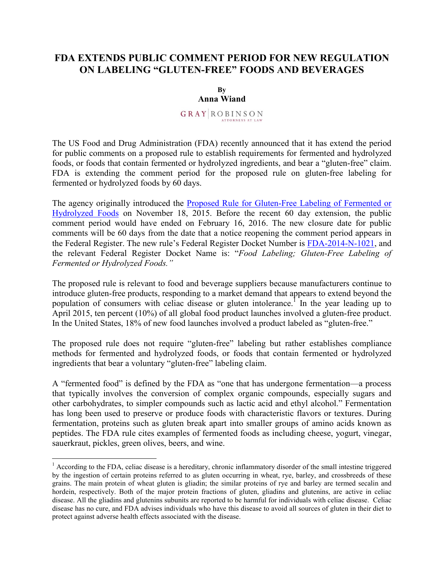## **FDA EXTENDS PUBLIC COMMENT PERIOD FOR NEW REGULATION ON LABELING "GLUTEN-FREE" FOODS AND BEVERAGES**

**By Anna Wiand**

**GRAY ROBINSON** ATTORNEYS AT LAW

The US Food and Drug Administration (FDA) recently announced that it has extend the period for public comments on a proposed rule to establish requirements for fermented and hydrolyzed foods, or foods that contain fermented or hydrolyzed ingredients, and bear a "gluten-free" claim. FDA is extending the comment period for the proposed rule on gluten-free labeling for fermented or hydrolyzed foods by 60 days.

The agency originally introduced the Proposed Rule for Gluten-Free Labeling of Fermented or Hydrolyzed Foods on November 18, 2015. Before the recent 60 day extension, the public comment period would have ended on February 16, 2016. The new closure date for public comments will be 60 days from the date that a notice reopening the comment period appears in the Federal Register. The new rule's Federal Register Docket Number is FDA-2014-N-1021, and the relevant Federal Register Docket Name is: "*Food Labeling; Gluten-Free Labeling of Fermented or Hydrolyzed Foods."*

The proposed rule is relevant to food and beverage suppliers because manufacturers continue to introduce gluten-free products, responding to a market demand that appears to extend beyond the population of consumers with celiac disease or gluten intolerance.<sup>1</sup> In the year leading up to April 2015, ten percent (10%) of all global food product launches involved a gluten-free product. In the United States, 18% of new food launches involved a product labeled as "gluten-free."

The proposed rule does not require "gluten-free" labeling but rather establishes compliance methods for fermented and hydrolyzed foods, or foods that contain fermented or hydrolyzed ingredients that bear a voluntary "gluten-free" labeling claim.

A "fermented food" is defined by the FDA as "one that has undergone fermentation—a process that typically involves the conversion of complex organic compounds, especially sugars and other carbohydrates, to simpler compounds such as lactic acid and ethyl alcohol." Fermentation has long been used to preserve or produce foods with characteristic flavors or textures. During fermentation, proteins such as gluten break apart into smaller groups of amino acids known as peptides. The FDA rule cites examples of fermented foods as including cheese, yogurt, vinegar, sauerkraut, pickles, green olives, beers, and wine.

 $<sup>1</sup>$  According to the FDA, celiac disease is a hereditary, chronic inflammatory disorder of the small intestine triggered</sup> by the ingestion of certain proteins referred to as gluten occurring in wheat, rye, barley, and crossbreeds of these grains. The main protein of wheat gluten is gliadin; the similar proteins of rye and barley are termed secalin and hordein, respectively. Both of the major protein fractions of gluten, gliadins and glutenins, are active in celiac disease. All the gliadins and glutenins subunits are reported to be harmful for individuals with celiac disease. Celiac disease has no cure, and FDA advises individuals who have this disease to avoid all sources of gluten in their diet to protect against adverse health effects associated with the disease.